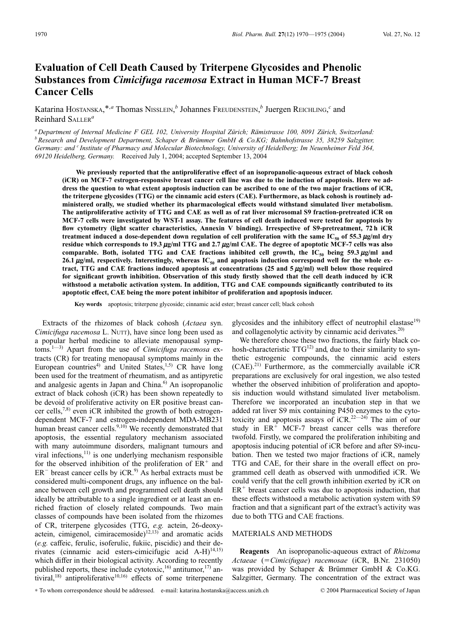# **Evaluation of Cell Death Caused by Triterpene Glycosides and Phenolic Substances from** *Cimicifuga racemosa* **Extract in Human MCF-7 Breast Cancer Cells**

Katarina HOSTANSKA,\*,*<sup>a</sup>* Thomas NISSLEIN, *<sup>b</sup>* Johannes FREUDENSTEIN, *<sup>b</sup>* Juergen REICHLING, *<sup>c</sup>* and Reinhard SALLER*<sup>a</sup>*

*<sup>a</sup> Department of Internal Medicine F GEL 102, University Hospital Zürich; Rämistrasse 100, 8091 Zürich, Switzerland: <sup>b</sup> Research and Development Department, Schaper & Brümmer GmbH & Co.KG; Bahnhofstrasse 35, 38259 Salzgitter, Germany: and <sup>c</sup> Institute of Pharmacy and Molecular Biotechnology, University of Heidelberg; Im Neuenheimer Feld 364, 69120 Heidelberg, Germany.* Received July 1, 2004; accepted September 13, 2004

**We previously reported that the antiproliferative effect of an isopropanolic-aqueous extract of black cohosh (iCR) on MCF-7 estrogen-responsive breast cancer cell line was due to the induction of apoptosis. Here we address the question to what extent apoptosis induction can be ascribed to one of the two major fractions of iCR, the triterpene glycosides (TTG) or the cinnamic acid esters (CAE). Furthermore, as black cohosh is routinely administered orally, we studied whether its pharmacological effects would withstand simulated liver metabolism. The antiproliferative activity of TTG and CAE as well as of rat liver microsomal S9 fraction-pretreated iCR on MCF-7 cells were investigated by WST-1 assay. The features of cell death induced were tested for apoptosis by flow cytometry (light scatter characteristics, Annexin V binding). Irrespective of S9-pretreatment, 72 h iCR treatment induced a dose-dependent down regulation of cell proliferation with the same**  $IC_{50}$  **of 55.3**  $\mu$ **g/ml dry residue which corresponds to 19.3**  $\mu$ g/ml TTG and 2.7  $\mu$ g/ml CAE. The degree of apoptotic MCF-7 cells was also comparable. Both, isolated TTG and CAE fractions inhibited cell growth, the  $IC_{50}$  being 59.3  $\mu$ g/ml and 26.1  $\mu$ g/ml, respectively. Interestingly, whereas IC<sub>50</sub> and apoptosis induction correspond well for the whole extract, TTG and CAE fractions induced apoptosis at concentrations  $(25 \text{ and } 5 \mu\text{g/ml})$  well below those required **for significant growth inhibition. Observation of this study firstly showed that the cell death induced by iCR withstood a metabolic activation system. In addition, TTG and CAE compounds significantly contributed to its apoptotic effect, CAE being the more potent inhibitor of proliferation and apoptosis inducer.**

**Key words** apoptosis; triterpene glycoside; cinnamic acid ester; breast cancer cell; black cohosh

Extracts of the rhizomes of black cohosh (*Actaea* syn. *Cimicifuga racemosa* L. NUTT), have since long been used as a popular herbal medicine to alleviate menopausal symptoms.1—3) Apart from the use of *Cimicifuga racemosa* extracts (CR) for treating menopausal symptoms mainly in the European countries<sup>4)</sup> and United States,<sup>1,5)</sup> CR have long been used for the treatment of rheumatism, and as antipyretic and analgesic agents in Japan and China. $<sup>6</sup>$  An isopropanolic</sup> extract of black cohosh (iCR) has been shown repeatedly to be devoid of proliferative activity on ER positive breast cancer cells, $^{7,8)}$  even iCR inhibited the growth of both estrogendependent MCF-7 and estrogen-independent MDA-MB231 human breast cancer cells. $9,10)$  We recently demonstrated that apoptosis, the essential regulatory mechanism associated with many autoimmune disorders, malignant tumours and viral infections, $^{11)}$  is one underlying mechanism responsible for the observed inhibition of the proliferation of  $ER^+$  and  $ER^-$  breast cancer cells by iCR.<sup>9)</sup> As herbal extracts must be considered multi-component drugs, any influence on the balance between cell growth and programmed cell death should ideally be attributable to a single ingredient or at least an enriched fraction of closely related compounds. Two main classes of compounds have been isolated from the rhizomes of CR, triterpene glycosides (TTG, *e.g.* actein, 26-deoxyactein, cimigenol, cimiracemoside)<sup>12,13)</sup> and aromatic acids (*e.g.* caffeic, ferulic, isoferulic, fukiic, piscidic) and their derivates (cinnamic acid esters-cimicifugic acid A-H)<sup>14,15)</sup> which differ in their biological activity. According to recently published reports, these include cytotoxic,  $^{16)}$  antitumor,  $^{17)}$  antiviral,<sup>18)</sup> antiproliferative<sup>10,16</sup> effects of some triterpenene

glycosides and the inhibitory effect of neutrophil elastase<sup>19)</sup> and collagenolytic activity by cinnamic acid derivates.<sup>20)</sup>

We therefore chose these two fractions, the fairly black cohosh-characteristic  $TTG^{12}$  and, due to their similarity to synthetic estrogenic compounds, the cinnamic acid esters  $(CAE)$ .<sup>21)</sup> Furthermore, as the commercially available iCR preparations are exclusively for oral ingestion, we also tested whether the observed inhibition of proliferation and apoptosis induction would withstand simulated liver metabolism. Therefore we incorporated an incubation step in that we added rat liver S9 mix containing P450 enzymes to the cytotoxicity and apoptosis assays of  $iCR$ ,  $22-24$ ) The aim of our study in  $ER^+$  MCF-7 breast cancer cells was therefore twofold. Firstly, we compared the proliferation inhibiting and apoptosis inducing potential of iCR before and after S9-incubation. Then we tested two major fractions of iCR, namely TTG and CAE, for their share in the overall effect on programmed cell death as observed with unmodified iCR. We could verify that the cell growth inhibition exerted by iCR on  $ER<sup>+</sup>$  breast cancer cells was due to apoptosis induction, that these effects withstood a metabolic activation system with S9 fraction and that a significant part of the extract's activity was due to both TTG and CAE fractions.

## MATERIALS AND METHODS

**Reagents** An isopropanolic-aqueous extract of *Rhizoma Actaeae* (*Cimicifugae*) *racemosae* (iCR, B.Nr. 231050) was provided by Schaper & Brümmer GmbH & Co.KG. Salzgitter, Germany. The concentration of the extract was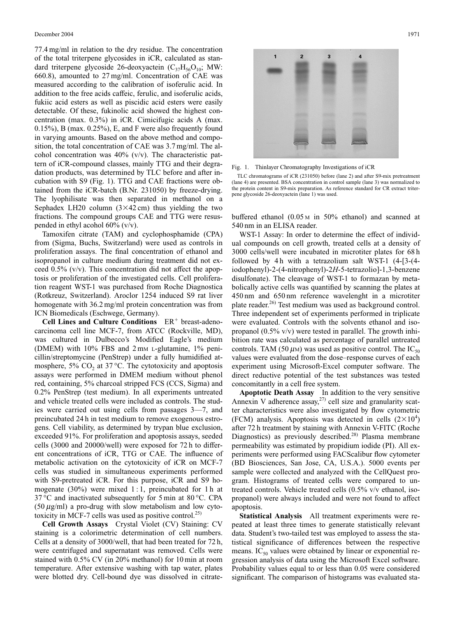77.4 mg/ml in relation to the dry residue. The concentration of the total triterpene glycosides in iCR, calculated as standard triterpene glycoside 26-deoxyactein  $(C_{37}H_{56}O_{10};$  MW: 660.8), amounted to 27 mg/ml. Concentration of CAE was measured according to the calibration of isoferulic acid. In addition to the free acids caffeic, ferulic, and isoferulic acids, fukiic acid esters as well as piscidic acid esters were easily detectable. Of these, fukinolic acid showed the highest concentration (max. 0.3%) in iCR. Cimicifugic acids A (max. 0.15%), B (max. 0.25%), E, and F were also frequently found in varying amounts. Based on the above method and composition, the total concentration of CAE was 3.7 mg/ml. The alcohol concentration was 40% (v/v). The characteristic pattern of iCR-compound classes, mainly TTG and their degradation products, was determined by TLC before and after incubation with S9 (Fig. 1). TTG and CAE fractions were obtained from the iCR-batch (B.Nr. 231050) by freeze-drying. The lyophilisate was then separated in methanol on a Sephadex LH20 column  $(3\times42 \text{ cm})$  thus yielding the two fractions. The compound groups CAE and TTG were resuspended in ethyl acohol 60% (v/v).

Tamoxifen citrate (TAM) and cyclophosphamide (CPA) from (Sigma, Buchs, Switzerland) were used as controls in proliferation assays. The final concentration of ethanol and isopropanol in culture medium during treatment did not exceed  $0.5\%$  (v/v). This concentration did not affect the apoptosis or proliferation of the investigated cells. Cell proliferation reagent WST-1 was purchased from Roche Diagnostica (Rotkreuz, Switzerland). Aroclor 1254 induced S9 rat liver homogenate with 36.2 mg/ml protein concentration was from ICN Biomedicals (Eschwege, Germany).

**Cell Lines and Culture Conditions** ER<sup>+</sup> breast-adenocarcinoma cell line MCF-7, from ATCC (Rockville, MD), was cultured in Dulbecco's Modified Eagle's medium (DMEM) with 10% FBS and 2 mM L-glutamine, 1% penicillin/streptomycine (PenStrep) under a fully humidified atmosphere, 5%  $CO<sub>2</sub>$  at 37 °C. The cytotoxicity and apoptosis assays were performed in DMEM medium without phenol red, containing, 5% charcoal stripped FCS (CCS, Sigma) and 0.2% PenStrep (test medium). In all experiments untreated and vehicle treated cells were included as controls. The studies were carried out using cells from passages 3—7, and preincubated 24 h in test medium to remove exogenous estrogens. Cell viability, as determined by trypan blue exclusion, exceeded 91%. For proliferation and apoptosis assays, seeded cells (3000 and 20000/well) were exposed for 72 h to different concentrations of iCR, TTG or CAE. The influence of metabolic activation on the cytotoxicity of iCR on MCF-7 cells was studied in simultaneous experiments performed with S9-pretreated iCR. For this purpose, iCR and S9 homogenate (30%) were mixed 1:1, preincubated for 1 h at 37 °C and inactivated subsequently for 5 min at 80 °C. CPA (50  $\mu$ g/ml) a pro-drug with slow metabolism and low cytotoxicity in MCF-7 cells was used as positive control.<sup>25)</sup>

**Cell Growth Assays** Crystal Violet (CV) Staining: CV staining is a colorimetric determination of cell numbers. Cells at a density of 3000/well, that had been treated for 72 h, were centrifuged and supernatant was removed. Cells were stained with 0.5% CV (in 20% methanol) for 10 min at room temperature. After extensive washing with tap water, plates were blotted dry. Cell-bound dye was dissolved in citrate-



Fig. 1. Thinlayer Chromatography Investigations of iCR

TLC chromatograms of iCR (231050) before (lane 2) and after S9-mix pretreatment (lane 4) are presented. BSA concentration in control sample (lane 3) was normalized to the protein content in S9-mix preparation. As reference standard for CR extract triterpene glycoside 26-deoxyactein (lane 1) was used.

buffered ethanol (0.05 <sup>M</sup> in 50% ethanol) and scanned at 540 nm in an ELISA reader.

WST-1 Assay: In order to determine the effect of individual compounds on cell growth, treated cells at a density of 3000 cells/well were incubated in microtiter plates for 68 h followed by 4 h with a tetrazolium salt WST-1  $(4-[3-(4-1)]$ iodophenyl)-2-(4-nitrophenyl)-2*H*-5-tetrazolio]-1,3-benzene disulfonate). The cleavage of WST-1 to formazan by metabolically active cells was quantified by scanning the plates at 450 nm and 650 nm reference wavelenght in a microtiter plate reader.<sup>26)</sup> Test medium was used as background control. Three independent set of experiments performed in triplicate were evaluated. Controls with the solvents ethanol and isopropanol  $(0.5\% \text{ v/v})$  were tested in parallel. The growth inhibition rate was calculated as percentage of parallel untreated controls. TAM (50  $\mu$ M) was used as positive control. The IC<sub>50</sub> values were evaluated from the dose–response curves of each experiment using Microsoft-Excel computer software. The direct reductive potential of the test substances was tested concomitantly in a cell free system.

**Apoptotic Death Assay** In addition to the very sensitive Annexin V adherence assay, $27$  cell size and granularity scatter characteristics were also investigated by flow cytometric (FCM) analysis. Apoptosis was detected in cells  $(2\times10^4)$ after 72 h treatment by staining with Annexin V-FITC (Roche Diagnostics) as previously described.<sup>28)</sup> Plasma membrane permeability was estimated by propidium iodide (PI). All experiments were performed using FACScalibur flow cytometer (BD Biosciences, San Jose, CA, U.S.A.). 5000 events per sample were collected and analyzed with the CellQuest program. Histograms of treated cells were compared to untreated controls. Vehicle treated cells (0.5% v/v ethanol, isopropanol) were always included and were not found to affect apoptosis.

**Statistical Analysis** All treatment experiments were repeated at least three times to generate statistically relevant data. Student's two-tailed test was employed to assess the statistical significance of differences between the respective means.  $IC_{50}$  values were obtained by linear or exponential regression analysis of data using the Microsoft Excel software. Probability values equal to or less than 0.05 were considered significant. The comparison of histograms was evaluated sta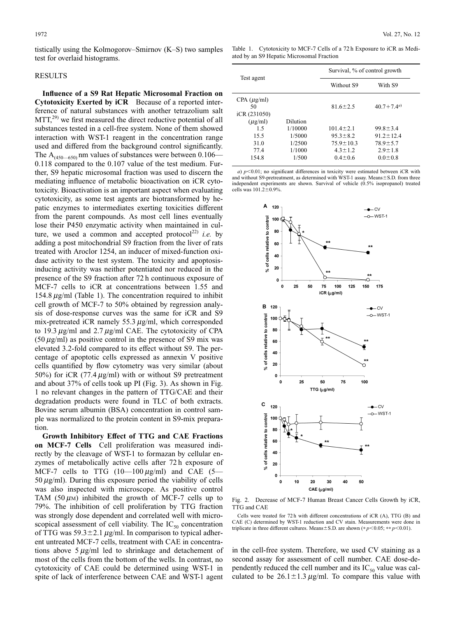tistically using the Kolmogorov–Smirnov (K–S) two samples test for overlaid histograms.

### RESULTS

**Influence of a S9 Rat Hepatic Microsomal Fraction on Cytotoxicity Exerted by iCR** Because of a reported interference of natural substances with another tetrazolium salt  $MTT<sub>1</sub><sup>(29)</sup>$  we first measured the direct reductive potential of all substances tested in a cell-free system. None of them showed interaction with WST-1 reagent in the concentration range used and differed from the background control significantly. The  $A_{(450-650)}$  nm values of substances were between 0.106— 0.118 compared to the 0.107 value of the test medium. Further, S9 hepatic microsomal fraction was used to discern the mediating influence of metabolic bioactivation on iCR cytotoxicity. Bioactivation is an important aspect when evaluating cytotoxicity, as some test agents are biotransformed by hepatic enzymes to intermediates exerting toxicities different from the parent compounds. As most cell lines eventually lose their P450 enzymatic activity when maintained in culture, we used a common and accepted protocol<sup>22)</sup> *i.e.* by adding a post mitochondrial S9 fraction from the liver of rats treated with Aroclor 1254, an inducer of mixed-function oxidase activity to the test system. The toxicity and apoptosisinducing activity was neither potentiated nor reduced in the presence of the S9 fraction after 72 h continuous exposure of MCF-7 cells to iCR at concentrations between 1.55 and 154.8  $\mu$ g/ml (Table 1). The concentration required to inhibit cell growth of MCF-7 to 50% obtained by regression analysis of dose-response curves was the same for iCR and S9 mix-pretreated iCR namely 55.3  $\mu$ g/ml, which corresponded to 19.3  $\mu$ g/ml and 2.7  $\mu$ g/ml CAE. The cytotoxicity of CPA  $(50 \,\mu g/ml)$  as positive control in the presence of S9 mix was elevated 3.2-fold compared to its effect without S9. The percentage of apoptotic cells expressed as annexin V positive cells quantified by flow cytometry was very similar (about 50%) for iCR (77.4  $\mu$ g/ml) with or without S9 pretreatment and about 37% of cells took up PI (Fig. 3). As shown in Fig. 1 no relevant changes in the pattern of TTG/CAE and their degradation products were found in TLC of both extracts. Bovine serum albumin (BSA) concentration in control sample was normalized to the protein content in S9-mix preparation.

**Growth Inhibitory Effect of TTG and CAE Fractions on MCF-7 Cells** Cell proliferation was measured indirectly by the cleavage of WST-1 to formazan by cellular enzymes of metabolically active cells after 72 h exposure of MCF-7 cells to TTG  $(10-100 \,\mu\text{g/ml})$  and CAE  $(5-$ 50  $\mu$ g/ml). During this exposure period the viability of cells was also inspected with microscope. As positive control TAM (50  $\mu$ M) inhibited the growth of MCF-7 cells up to 79%. The inhibition of cell proliferation by TTG fraction was strongly dose dependent and correlated well with microscopical assessment of cell viability. The  $IC_{50}$  concentration of TTG was  $59.3 \pm 2.1 \mu g/ml$ . In comparison to typical adherent untreated MCF-7 cells, treatment with CAE in concentrations above  $5 \mu g/ml$  led to shrinkage and detachement of most of the cells from the bottom of the wells. In contrast, no cytotoxicity of CAE could be determined using WST-1 in spite of lack of interference between CAE and WST-1 agent

Table 1. Cytotoxicity to MCF-7 Cells of a 72 h Exposure to iCR as Mediated by an S9 Hepatic Microsomal Fraction

|                  |          | Survival, % of control growth |                  |
|------------------|----------|-------------------------------|------------------|
| Test agent       |          | Without S9                    | With S9          |
| $CPA (\mu g/ml)$ |          |                               |                  |
| 50               |          | $81.6 \pm 2.5$                | $40.7 + 7.4^{a}$ |
| iCR (231050)     |          |                               |                  |
| $(\mu$ g/ml)     | Dilution |                               |                  |
| 15               | 1/10000  | $101.4 \pm 2.1$               | $99.8 \pm 3.4$   |
| 15.5             | 1/5000   | $95.3 \pm 8.2$                | $91.2 \pm 12.4$  |
| 31.0             | 1/2500   | $75.9 \pm 10.3$               | $78.9 \pm 5.7$   |
| 77.4             | 1/1000   | $4.3 \pm 1.2$                 | $2.9 \pm 1.8$    |
| 154.8            | 1/500    | $0.4 \pm 0.6$                 | $0.0 \pm 0.8$    |

*a*)  $p<0.01$ ; no significant differences in toxicity were estimated between iCR with and without S9-pretreatment, as determined with WST-1 assay. Means $\pm$ S.D. from three independent experiments are shown. Survival of vehicle (0.5% isopropanol) treated cells was  $101.2 \pm 0.9\%$ .



Fig. 2. Decrease of MCF-7 Human Breast Cancer Cells Growth by iCR, TTG and CAE

Cells were treated for 72 h with different concentrations of iCR (A), TTG (B) and CAE (C) determined by WST-1 reduction and CV stain. Measurements were done in triplicate in three different cultures. Means $\pm$  S.D. are shown (\* *p*<0.05; \*\* *p*<0.01).

in the cell-free system. Therefore, we used CV staining as a second assay for assessment of cell number. CAE dose-dependently reduced the cell number and its  $IC_{50}$  value was calculated to be  $26.1 \pm 1.3 \,\mu g/ml$ . To compare this value with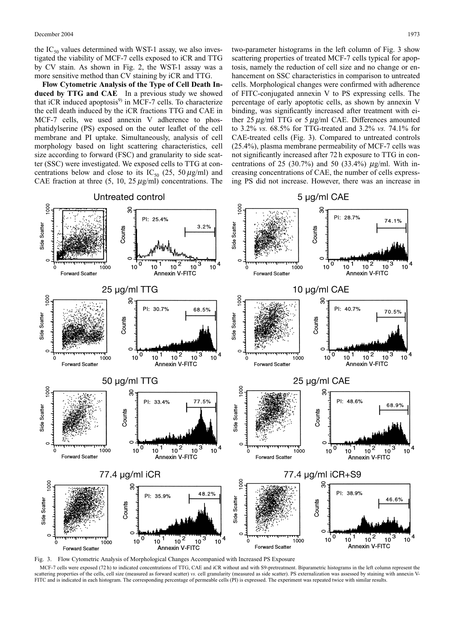the  $IC_{50}$  values determined with WST-1 assay, we also investigated the viability of MCF-7 cells exposed to iCR and TTG by CV stain. As shown in Fig. 2, the WST-1 assay was a more sensitive method than CV staining by iCR and TTG.

**Flow Cytometric Analysis of the Type of Cell Death In**duced by TTG and CAE In a previous study we showed that  $iCR$  induced apoptosis $9$  in MCF-7 cells. To characterize the cell death induced by the iCR fractions TTG and CAE in MCF-7 cells, we used annexin V adherence to phosphatidylserine (PS) exposed on the outer leaflet of the cell membrane and PI uptake. Simultaneously, analysis of cell morphology based on light scattering characteristics, cell size according to forward (FSC) and granularity to side scatter (SSC) were investigated. We exposed cells to TTG at concentrations below and close to its IC<sub>50</sub> (25, 50  $\mu$ g/ml) and CAE fraction at three  $(5, 10, 25 \mu g/ml)$  concentrations. The two-parameter histograms in the left column of Fig. 3 show scattering properties of treated MCF-7 cells typical for apoptosis, namely the reduction of cell size and no change or enhancement on SSC characteristics in comparison to untreated cells. Morphological changes were confirmed with adherence of FITC-conjugated annexin V to PS expressing cells. The percentage of early apoptotic cells, as shown by annexin V binding, was significantly increased after treatment with either  $25 \mu g/ml$  TTG or  $5 \mu g/ml$  CAE. Differences amounted to 3.2% *vs.* 68.5% for TTG-treated and 3.2% *vs.* 74.1% for CAE-treated cells (Fig. 3). Compared to untreated controls (25.4%), plasma membrane permeability of MCF-7 cells was not significantly increased after 72 h exposure to TTG in concentrations of 25 (30.7%) and 50 (33.4%)  $\mu$ g/ml. With increasing concentrations of CAE, the number of cells expressing PS did not increase. However, there was an increase in



Fig. 3. Flow Cytometric Analysis of Morphological Changes Accompanied with Increased PS Exposure

MCF-7 cells were exposed (72 h) to indicated concentrations of TTG, CAE and iCR without and with S9-pretreatment. Biparametric histograms in the left column represent the scattering properties of the cells, cell size (measured as forward scatter) *vs.* cell granularity (measured as side scatter). PS externalization was assessed by staining with annexin V-FITC and is indicated in each histogram. The corresponding percentage of permeable cells (PI) is expressed. The experiment was repeated twice with similar results.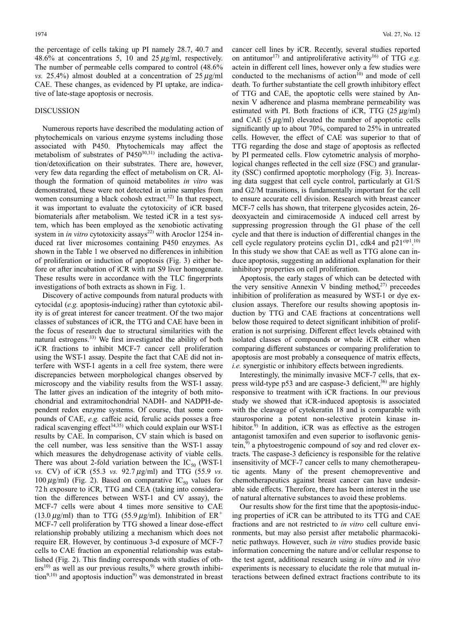the percentage of cells taking up PI namely 28.7, 40.7 and 48.6% at concentrations 5, 10 and  $25 \mu g/ml$ , respectively. The number of permeable cells compared to control (48.6% *vs.* 25.4%) almost doubled at a concentration of  $25 \mu g/ml$ CAE. These changes, as evidenced by PI uptake, are indicative of late-stage apoptosis or necrosis.

### DISCUSSION

Numerous reports have described the modulating action of phytochemicals on various enzyme systems including those associated with P450. Phytochemicals may affect the metabolism of substrates of  $P450^{30,31}$  including the activation/detoxification on their substrates. There are, however, very few data regarding the effect of metabolism on CR. Although the formation of quinoid metabolites *in vitro* was demonstrated, these were not detected in urine samples from women consuming a black cohosh extract.<sup>32)</sup> In that respect, it was important to evaluate the cytotoxicity of iCR based biomaterials after metabolism. We tested iCR in a test system, which has been employed as the xenobiotic activating system in *in vitro* cytotoxicity assays<sup>22)</sup> with Aroclor 1254 induced rat liver microsomes containing P450 enzymes. As shown in the Table 1 we observed no differences in inhibition of proliferation or induction of apoptosis (Fig. 3) either before or after incubation of iCR with rat S9 liver homogenate. These results were in accordance with the TLC fingerprints investigations of both extracts as shown in Fig. 1.

Discovery of active compounds from natural products with cytocidal (*e.g.* apoptosis-inducing) rather than cytotoxic ability is of great interest for cancer treatment. Of the two major classes of substances of iCR, the TTG and CAE have been in the focus of research due to structural similarities with the natural estrogens.<sup>33)</sup> We first investigated the ability of both iCR fractions to inhibit MCF-7 cancer cell proliferation using the WST-1 assay. Despite the fact that CAE did not interfere with WST-1 agents in a cell free system, there were discrepancies between morphological changes observed by microscopy and the viability results from the WST-1 assay. The latter gives an indication of the integrity of both mitochondrial and extramitochondrial NADH- and NADPH-dependent redox enzyme systems. Of course, that some compounds of CAE, *e.g.* caffeic acid, ferulic acids posses a free radical scavenging effect<sup>34,35)</sup> which could explain our WST-1 results by CAE. In comparison, CV stain which is based on the cell number, was less sensitive than the WST-1 assay which measures the dehydrogenase activity of viable cells. There was about 2-fold variation between the  $IC_{50}$  (WST-1) *vs.* CV) of iCR (55.3 *vs.* 92.7  $\mu$ g/ml) and TTG (55.9 *vs.* 100  $\mu$ g/ml) (Fig. 2). Based on comparative IC<sub>50</sub> values for 72 h exposure to iCR, TTG and CEA (taking into consideration the differences between WST-1 and CV assay), the MCF-7 cells were about 4 times more sensitive to CAE (13.0  $\mu$ g/ml) than to TTG (55.9  $\mu$ g/ml). Inhibition of ER<sup>+</sup> MCF-7 cell proliferation by TTG showed a linear dose-effect relationship probably utilizing a mechanism which does not require ER. However, by continuous 3-d exposure of MCF-7 cells to CAE fraction an exponential relationship was established (Fig. 2). This finding corresponds with studies of oth $ers^{10}$  as well as our previous results,<sup>9)</sup> where growth inhibi- $\text{tion}^{9,10}$  and apoptosis induction<sup>9)</sup> was demonstrated in breast

cancer cell lines by iCR. Recently, several studies reported on antitumor<sup>17)</sup> and antiproliferative activity<sup>16)</sup> of TTG *e.g.* actein in different cell lines, however only a few studies were conducted to the mechanisms of action $10$  and mode of cell death. To further substantiate the cell growth inhibitory effect of TTG and CAE, the apoptotic cells were stained by Annexin V adherence and plasma membrane permeability was estimated with PI. Both fractions of iCR, TTG  $(25 \,\mu\text{g/ml})$ and CAE  $(5 \mu g/ml)$  elevated the number of apoptotic cells significantly up to about 70%, compared to 25% in untreated cells. However, the effect of CAE was superior to that of TTG regarding the dose and stage of apoptosis as reflected by PI permeated cells. Flow cytometric analysis of morphological changes reflected in the cell size (FSC) and granularity (SSC) confirmed apoptotic morphology (Fig. 3). Increasing data suggest that cell cycle control, particularly at G1/S and G2/M transitions, is fundamentally important for the cell to ensure accurate cell division. Research with breast cancer MCF-7 cells has shown, that triterpene glycosides actein, 26 deoxyactein and cimiracemoside A induced cell arrest by suppressing progression through the G1 phase of the cell cycle and that there is induction of differential changes in the cell cycle regulatory proteins cyclin D1, cdk4 and  $p21^{\text{cip1}}$ .<sup>10)</sup> In this study we show that CAE as well as TTG alone can induce apoptosis, suggesting an additional explanation for their inhibitory properties on cell proliferation.

Apoptosis, the early stages of which can be detected with the very sensitive Annexin V binding method,<sup>27)</sup> preceedes inhibition of proliferation as measured by WST-1 or dye exclusion assays. Therefore our results showing apoptosis induction by TTG and CAE fractions at concentrations well below those required to detect significant inhibition of proliferation is not surprising. Different effect levels obtained with isolated classes of compounds or whole iCR either when comparing different substances or comparing proliferation to apoptosis are most probably a consequence of matrix effects, *i.e.* synergistic or inhibitory effects between ingredients.

Interestingly, the minimally invasive MCF-7 cells, that express wild-type  $p53$  and are caspase-3 deficient,<sup>36)</sup> are highly responsive to treatment with iCR fractions. In our previous study we showed that iCR-induced apoptosis is associated with the cleavage of cytokeratin 18 and is comparable with staurosporine a potent non-selective protein kinase inhibitor. $9$  In addition, iCR was as effective as the estrogen antagonist tamoxifen and even superior to isoflavonic genistein,<sup>9)</sup> a phytoestrogenic compound of soy and red clover extracts. The caspase-3 deficiency is responsible for the relative insensitivity of MCF-7 cancer cells to many chemotherapeutic agents. Many of the present chemopreventive and chemotherapeutics against breast cancer can have undesirable side effects. Therefore, there has been interest in the use of natural alternative substances to avoid these problems.

Our results show for the first time that the apoptosis-inducing properties of iCR can be attributed to its TTG and CAE fractions and are not restricted to *in vitro* cell culture environments, but may also persist after metabolic pharmacokinetic pathways. However, such *in vitro* studies provide basic information concerning the nature and/or cellular response to the test agent, additional research using *in vitro* and *in vivo* experiments is necessary to elucidate the role that mutual interactions between defined extract fractions contribute to its